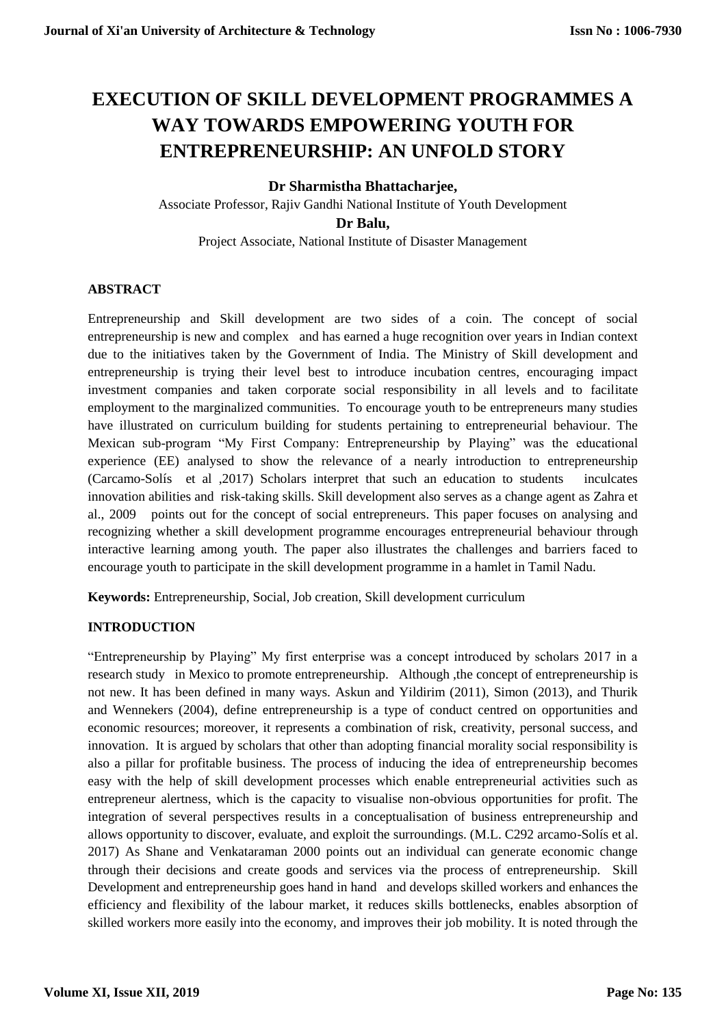# **EXECUTION OF SKILL DEVELOPMENT PROGRAMMES A WAY TOWARDS EMPOWERING YOUTH FOR ENTREPRENEURSHIP: AN UNFOLD STORY**

# **Dr Sharmistha Bhattacharjee,**

Associate Professor, Rajiv Gandhi National Institute of Youth Development **Dr Balu,**  Project Associate, National Institute of Disaster Management

# **ABSTRACT**

Entrepreneurship and Skill development are two sides of a coin. The concept of social entrepreneurship is new and complex and has earned a huge recognition over years in Indian context due to the initiatives taken by the Government of India. The Ministry of Skill development and entrepreneurship is trying their level best to introduce incubation centres, encouraging impact investment companies and taken corporate social responsibility in all levels and to facilitate employment to the marginalized communities. To encourage youth to be entrepreneurs many studies have illustrated on curriculum building for students pertaining to entrepreneurial behaviour. The Mexican sub-program "My First Company: Entrepreneurship by Playing" was the educational experience (EE) analysed to show the relevance of a nearly introduction to entrepreneurship (Carcamo-Solís et al ,2017) Scholars interpret that such an education to students inculcates innovation abilities and risk-taking skills. Skill development also serves as a change agent as Zahra et al., 2009 points out for the concept of social entrepreneurs. This paper focuses on analysing and recognizing whether a skill development programme encourages entrepreneurial behaviour through interactive learning among youth. The paper also illustrates the challenges and barriers faced to encourage youth to participate in the skill development programme in a hamlet in Tamil Nadu.

**Keywords:** Entrepreneurship, Social, Job creation, Skill development curriculum

# **INTRODUCTION**

"Entrepreneurship by Playing" My first enterprise was a concept introduced by scholars 2017 in a research study in Mexico to promote entrepreneurship. Although ,the concept of entrepreneurship is not new. It has been defined in many ways. Askun and Yildirim (2011), Simon (2013), and Thurik and Wennekers (2004), define entrepreneurship is a type of conduct centred on opportunities and economic resources; moreover, it represents a combination of risk, creativity, personal success, and innovation. It is argued by scholars that other than adopting financial morality social responsibility is also a pillar for profitable business. The process of inducing the idea of entrepreneurship becomes easy with the help of skill development processes which enable entrepreneurial activities such as entrepreneur alertness, which is the capacity to visualise non-obvious opportunities for profit. The integration of several perspectives results in a conceptualisation of business entrepreneurship and allows opportunity to discover, evaluate, and exploit the surroundings. (M.L. C292 arcamo-Solís et al. 2017) As Shane and Venkataraman 2000 points out an individual can generate economic change through their decisions and create goods and services via the process of entrepreneurship. Skill Development and entrepreneurship goes hand in hand and develops skilled workers and enhances the efficiency and flexibility of the labour market, it reduces skills bottlenecks, enables absorption of skilled workers more easily into the economy, and improves their job mobility. It is noted through the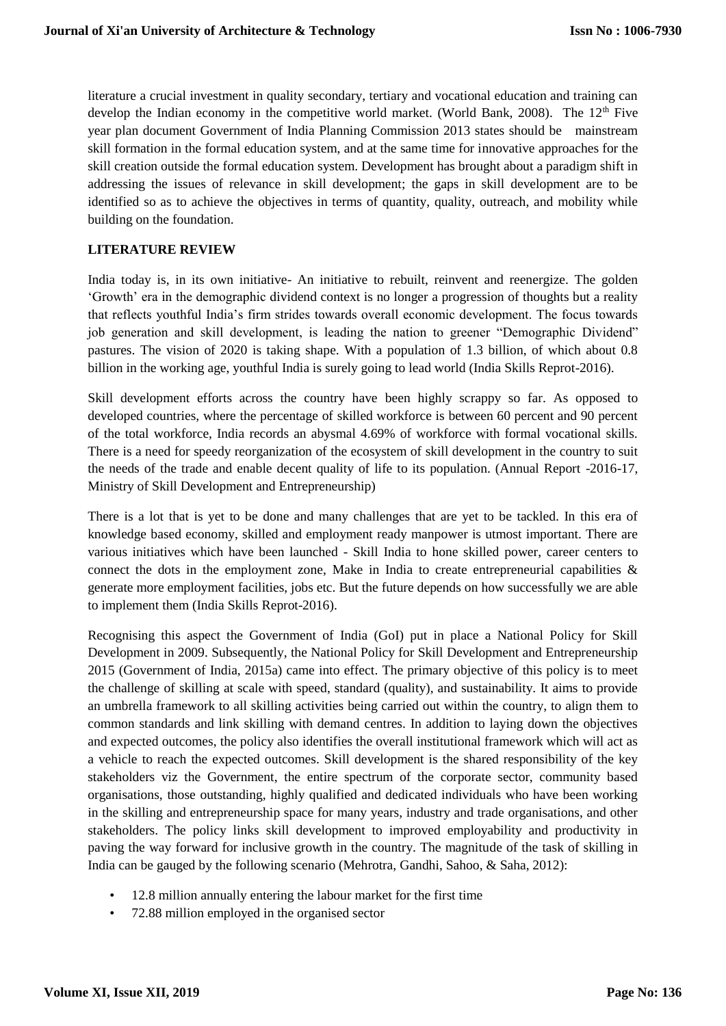literature a crucial investment in quality secondary, tertiary and vocational education and training can develop the Indian economy in the competitive world market. (World Bank, 2008). The 12<sup>th</sup> Five year plan document Government of India Planning Commission 2013 states should be mainstream skill formation in the formal education system, and at the same time for innovative approaches for the skill creation outside the formal education system. Development has brought about a paradigm shift in addressing the issues of relevance in skill development; the gaps in skill development are to be identified so as to achieve the objectives in terms of quantity, quality, outreach, and mobility while building on the foundation.

# **LITERATURE REVIEW**

India today is, in its own initiative- An initiative to rebuilt, reinvent and reenergize. The golden 'Growth' era in the demographic dividend context is no longer a progression of thoughts but a reality that reflects youthful India's firm strides towards overall economic development. The focus towards job generation and skill development, is leading the nation to greener "Demographic Dividend" pastures. The vision of 2020 is taking shape. With a population of 1.3 billion, of which about 0.8 billion in the working age, youthful India is surely going to lead world (India Skills Reprot-2016).

Skill development efforts across the country have been highly scrappy so far. As opposed to developed countries, where the percentage of skilled workforce is between 60 percent and 90 percent of the total workforce, India records an abysmal 4.69% of workforce with formal vocational skills. There is a need for speedy reorganization of the ecosystem of skill development in the country to suit the needs of the trade and enable decent quality of life to its population. (Annual Report -2016-17, Ministry of Skill Development and Entrepreneurship)

There is a lot that is yet to be done and many challenges that are yet to be tackled. In this era of knowledge based economy, skilled and employment ready manpower is utmost important. There are various initiatives which have been launched - Skill India to hone skilled power, career centers to connect the dots in the employment zone, Make in India to create entrepreneurial capabilities  $\&$ generate more employment facilities, jobs etc. But the future depends on how successfully we are able to implement them (India Skills Reprot-2016).

Recognising this aspect the Government of India (GoI) put in place a National Policy for Skill Development in 2009. Subsequently, the National Policy for Skill Development and Entrepreneurship 2015 (Government of India, 2015a) came into effect. The primary objective of this policy is to meet the challenge of skilling at scale with speed, standard (quality), and sustainability. It aims to provide an umbrella framework to all skilling activities being carried out within the country, to align them to common standards and link skilling with demand centres. In addition to laying down the objectives and expected outcomes, the policy also identifies the overall institutional framework which will act as a vehicle to reach the expected outcomes. Skill development is the shared responsibility of the key stakeholders viz the Government, the entire spectrum of the corporate sector, community based organisations, those outstanding, highly qualified and dedicated individuals who have been working in the skilling and entrepreneurship space for many years, industry and trade organisations, and other stakeholders. The policy links skill development to improved employability and productivity in paving the way forward for inclusive growth in the country. The magnitude of the task of skilling in India can be gauged by the following scenario (Mehrotra, Gandhi, Sahoo, & Saha, 2012):

- 12.8 million annually entering the labour market for the first time
- 72.88 million employed in the organised sector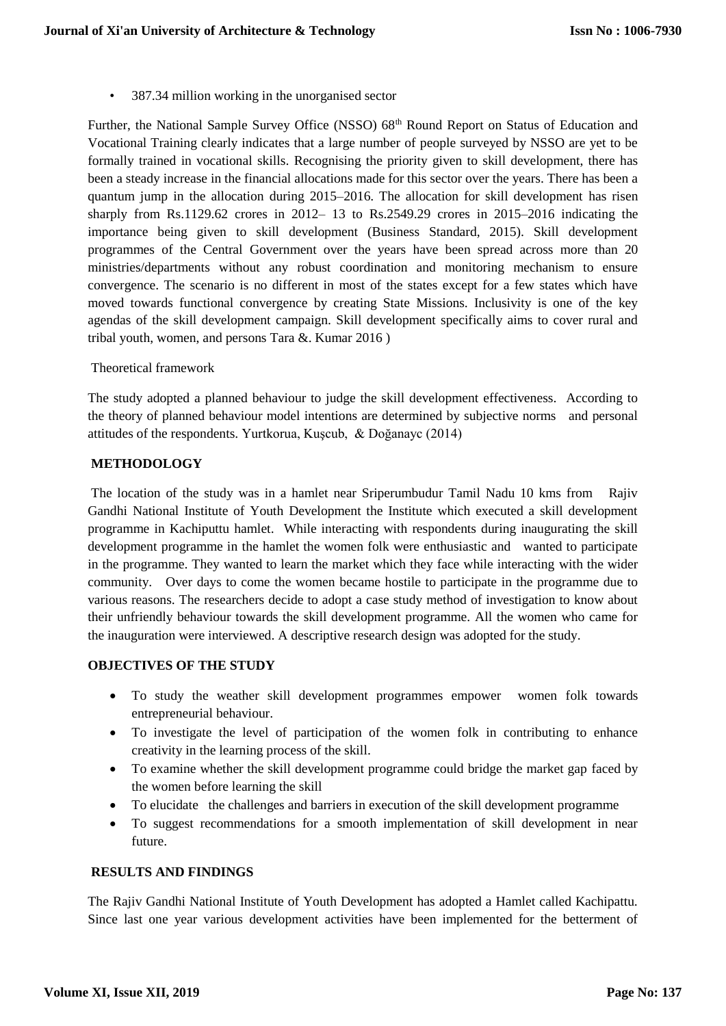• 387.34 million working in the unorganised sector

Further, the National Sample Survey Office (NSSO) 68<sup>th</sup> Round Report on Status of Education and Vocational Training clearly indicates that a large number of people surveyed by NSSO are yet to be formally trained in vocational skills. Recognising the priority given to skill development, there has been a steady increase in the financial allocations made for this sector over the years. There has been a quantum jump in the allocation during 2015–2016. The allocation for skill development has risen sharply from Rs.1129.62 crores in 2012– 13 to Rs.2549.29 crores in 2015–2016 indicating the importance being given to skill development (Business Standard, 2015). Skill development programmes of the Central Government over the years have been spread across more than 20 ministries/departments without any robust coordination and monitoring mechanism to ensure convergence. The scenario is no different in most of the states except for a few states which have moved towards functional convergence by creating State Missions. Inclusivity is one of the key agendas of the skill development campaign. Skill development specifically aims to cover rural and tribal youth, women, and persons Tara &. Kumar 2016 )

#### Theoretical framework

The study adopted a planned behaviour to judge the skill development effectiveness. According to the theory of planned behaviour model intentions are determined by subjective norms and personal attitudes of the respondents. Yurtkorua, Kuşcub, & Doğanayc (2014)

### **METHODOLOGY**

The location of the study was in a hamlet near Sriperumbudur Tamil Nadu 10 kms from Rajiv Gandhi National Institute of Youth Development the Institute which executed a skill development programme in Kachiputtu hamlet. While interacting with respondents during inaugurating the skill development programme in the hamlet the women folk were enthusiastic and wanted to participate in the programme. They wanted to learn the market which they face while interacting with the wider community. Over days to come the women became hostile to participate in the programme due to various reasons. The researchers decide to adopt a case study method of investigation to know about their unfriendly behaviour towards the skill development programme. All the women who came for the inauguration were interviewed. A descriptive research design was adopted for the study.

# **OBJECTIVES OF THE STUDY**

- To study the weather skill development programmes empower women folk towards entrepreneurial behaviour.
- To investigate the level of participation of the women folk in contributing to enhance creativity in the learning process of the skill.
- To examine whether the skill development programme could bridge the market gap faced by the women before learning the skill
- To elucidate the challenges and barriers in execution of the skill development programme
- To suggest recommendations for a smooth implementation of skill development in near future.

#### **RESULTS AND FINDINGS**

The Rajiv Gandhi National Institute of Youth Development has adopted a Hamlet called Kachipattu. Since last one year various development activities have been implemented for the betterment of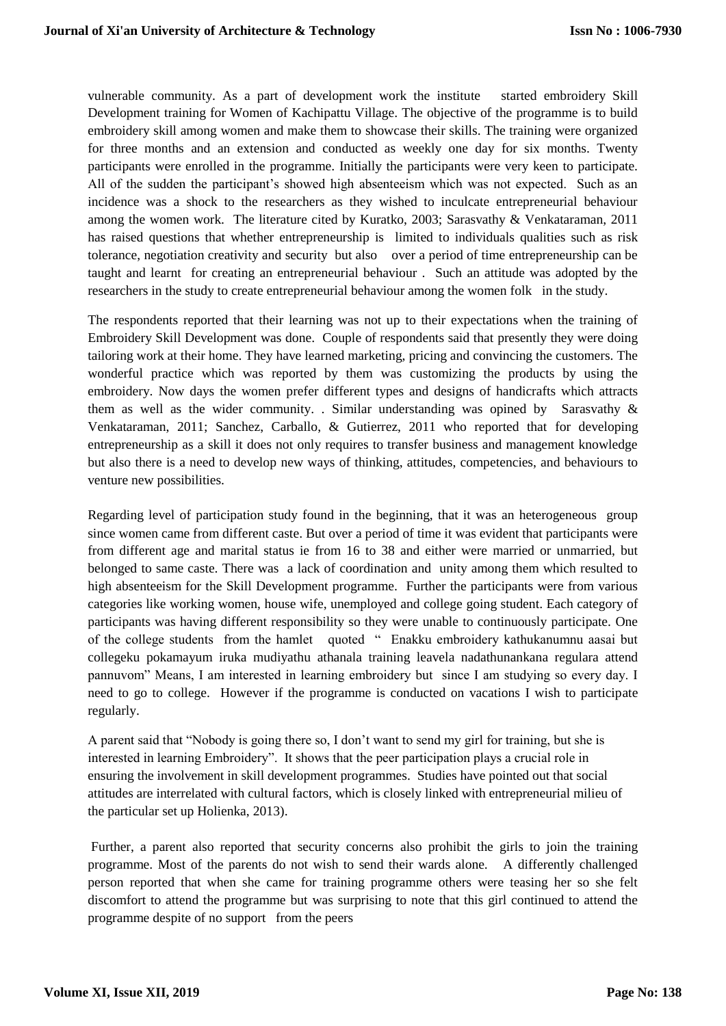vulnerable community. As a part of development work the institute started embroidery Skill Development training for Women of Kachipattu Village. The objective of the programme is to build embroidery skill among women and make them to showcase their skills. The training were organized for three months and an extension and conducted as weekly one day for six months. Twenty participants were enrolled in the programme. Initially the participants were very keen to participate. All of the sudden the participant's showed high absenteeism which was not expected. Such as an incidence was a shock to the researchers as they wished to inculcate entrepreneurial behaviour among the women work. The literature cited by Kuratko, 2003; Sarasvathy & Venkataraman, 2011 has raised questions that whether entrepreneurship is limited to individuals qualities such as risk tolerance, negotiation creativity and security but also over a period of time entrepreneurship can be taught and learnt for creating an entrepreneurial behaviour . Such an attitude was adopted by the researchers in the study to create entrepreneurial behaviour among the women folk in the study.

The respondents reported that their learning was not up to their expectations when the training of Embroidery Skill Development was done. Couple of respondents said that presently they were doing tailoring work at their home. They have learned marketing, pricing and convincing the customers. The wonderful practice which was reported by them was customizing the products by using the embroidery. Now days the women prefer different types and designs of handicrafts which attracts them as well as the wider community. . Similar understanding was opined by Sarasvathy & Venkataraman, 2011; Sanchez, Carballo, & Gutierrez, 2011 who reported that for developing entrepreneurship as a skill it does not only requires to transfer business and management knowledge but also there is a need to develop new ways of thinking, attitudes, competencies, and behaviours to venture new possibilities.

Regarding level of participation study found in the beginning, that it was an heterogeneous group since women came from different caste. But over a period of time it was evident that participants were from different age and marital status ie from 16 to 38 and either were married or unmarried, but belonged to same caste. There was a lack of coordination and unity among them which resulted to high absenteeism for the Skill Development programme. Further the participants were from various categories like working women, house wife, unemployed and college going student. Each category of participants was having different responsibility so they were unable to continuously participate. One of the college students from the hamlet quoted " Enakku embroidery kathukanumnu aasai but collegeku pokamayum iruka mudiyathu athanala training leavela nadathunankana regulara attend pannuvom" Means, I am interested in learning embroidery but since I am studying so every day. I need to go to college. However if the programme is conducted on vacations I wish to participate regularly.

A parent said that "Nobody is going there so, I don't want to send my girl for training, but she is interested in learning Embroidery". It shows that the peer participation plays a crucial role in ensuring the involvement in skill development programmes. Studies have pointed out that social attitudes are interrelated with cultural factors, which is closely linked with entrepreneurial milieu of the particular set up Holienka, 2013).

Further, a parent also reported that security concerns also prohibit the girls to join the training programme. Most of the parents do not wish to send their wards alone. A differently challenged person reported that when she came for training programme others were teasing her so she felt discomfort to attend the programme but was surprising to note that this girl continued to attend the programme despite of no support from the peers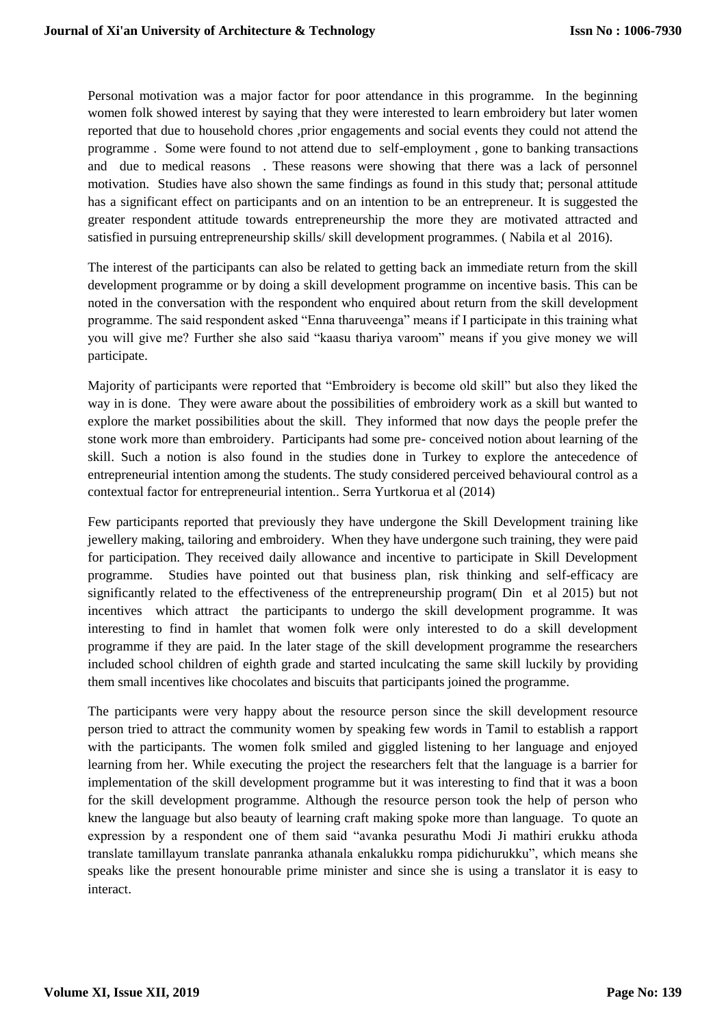Personal motivation was a major factor for poor attendance in this programme. In the beginning women folk showed interest by saying that they were interested to learn embroidery but later women reported that due to household chores ,prior engagements and social events they could not attend the programme . Some were found to not attend due to self-employment , gone to banking transactions and due to medical reasons . These reasons were showing that there was a lack of personnel motivation. Studies have also shown the same findings as found in this study that; personal attitude has a significant effect on participants and on an intention to be an entrepreneur. It is suggested the greater respondent attitude towards entrepreneurship the more they are motivated attracted and satisfied in pursuing entrepreneurship skills/ skill development programmes. (Nabila et al 2016).

The interest of the participants can also be related to getting back an immediate return from the skill development programme or by doing a skill development programme on incentive basis. This can be noted in the conversation with the respondent who enquired about return from the skill development programme. The said respondent asked "Enna tharuveenga" means if I participate in this training what you will give me? Further she also said "kaasu thariya varoom" means if you give money we will participate.

Majority of participants were reported that "Embroidery is become old skill" but also they liked the way in is done. They were aware about the possibilities of embroidery work as a skill but wanted to explore the market possibilities about the skill. They informed that now days the people prefer the stone work more than embroidery. Participants had some pre- conceived notion about learning of the skill. Such a notion is also found in the studies done in Turkey to explore the antecedence of entrepreneurial intention among the students. The study considered perceived behavioural control as a contextual factor for entrepreneurial intention.. Serra Yurtkorua et al (2014)

Few participants reported that previously they have undergone the Skill Development training like jewellery making, tailoring and embroidery. When they have undergone such training, they were paid for participation. They received daily allowance and incentive to participate in Skill Development programme. Studies have pointed out that business plan, risk thinking and self-efficacy are significantly related to the effectiveness of the entrepreneurship program( Din et al 2015) but not incentives which attract the participants to undergo the skill development programme. It was interesting to find in hamlet that women folk were only interested to do a skill development programme if they are paid. In the later stage of the skill development programme the researchers included school children of eighth grade and started inculcating the same skill luckily by providing them small incentives like chocolates and biscuits that participants joined the programme.

The participants were very happy about the resource person since the skill development resource person tried to attract the community women by speaking few words in Tamil to establish a rapport with the participants. The women folk smiled and giggled listening to her language and enjoyed learning from her. While executing the project the researchers felt that the language is a barrier for implementation of the skill development programme but it was interesting to find that it was a boon for the skill development programme. Although the resource person took the help of person who knew the language but also beauty of learning craft making spoke more than language. To quote an expression by a respondent one of them said "avanka pesurathu Modi Ji mathiri erukku athoda translate tamillayum translate panranka athanala enkalukku rompa pidichurukku", which means she speaks like the present honourable prime minister and since she is using a translator it is easy to interact.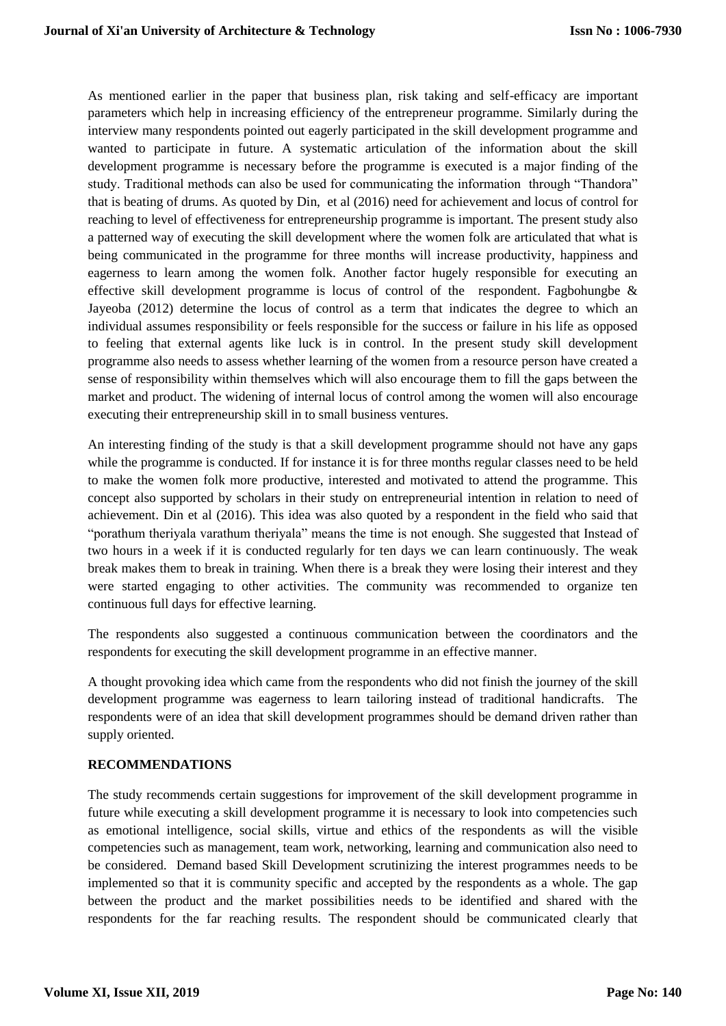As mentioned earlier in the paper that business plan, risk taking and self-efficacy are important parameters which help in increasing efficiency of the entrepreneur programme. Similarly during the interview many respondents pointed out eagerly participated in the skill development programme and wanted to participate in future. A systematic articulation of the information about the skill development programme is necessary before the programme is executed is a major finding of the study. Traditional methods can also be used for communicating the information through "Thandora" that is beating of drums. As quoted by Din, et al (2016) need for achievement and locus of control for reaching to level of effectiveness for entrepreneurship programme is important. The present study also a patterned way of executing the skill development where the women folk are articulated that what is being communicated in the programme for three months will increase productivity, happiness and eagerness to learn among the women folk. Another factor hugely responsible for executing an effective skill development programme is locus of control of the respondent. Fagbohungbe & Jayeoba (2012) determine the locus of control as a term that indicates the degree to which an individual assumes responsibility or feels responsible for the success or failure in his life as opposed to feeling that external agents like luck is in control. In the present study skill development programme also needs to assess whether learning of the women from a resource person have created a sense of responsibility within themselves which will also encourage them to fill the gaps between the market and product. The widening of internal locus of control among the women will also encourage executing their entrepreneurship skill in to small business ventures.

An interesting finding of the study is that a skill development programme should not have any gaps while the programme is conducted. If for instance it is for three months regular classes need to be held to make the women folk more productive, interested and motivated to attend the programme. This concept also supported by scholars in their study on entrepreneurial intention in relation to need of achievement. Din et al (2016). This idea was also quoted by a respondent in the field who said that "porathum theriyala varathum theriyala" means the time is not enough. She suggested that Instead of two hours in a week if it is conducted regularly for ten days we can learn continuously. The weak break makes them to break in training. When there is a break they were losing their interest and they were started engaging to other activities. The community was recommended to organize ten continuous full days for effective learning.

The respondents also suggested a continuous communication between the coordinators and the respondents for executing the skill development programme in an effective manner.

A thought provoking idea which came from the respondents who did not finish the journey of the skill development programme was eagerness to learn tailoring instead of traditional handicrafts. The respondents were of an idea that skill development programmes should be demand driven rather than supply oriented.

#### **RECOMMENDATIONS**

The study recommends certain suggestions for improvement of the skill development programme in future while executing a skill development programme it is necessary to look into competencies such as emotional intelligence, social skills, virtue and ethics of the respondents as will the visible competencies such as management, team work, networking, learning and communication also need to be considered. Demand based Skill Development scrutinizing the interest programmes needs to be implemented so that it is community specific and accepted by the respondents as a whole. The gap between the product and the market possibilities needs to be identified and shared with the respondents for the far reaching results. The respondent should be communicated clearly that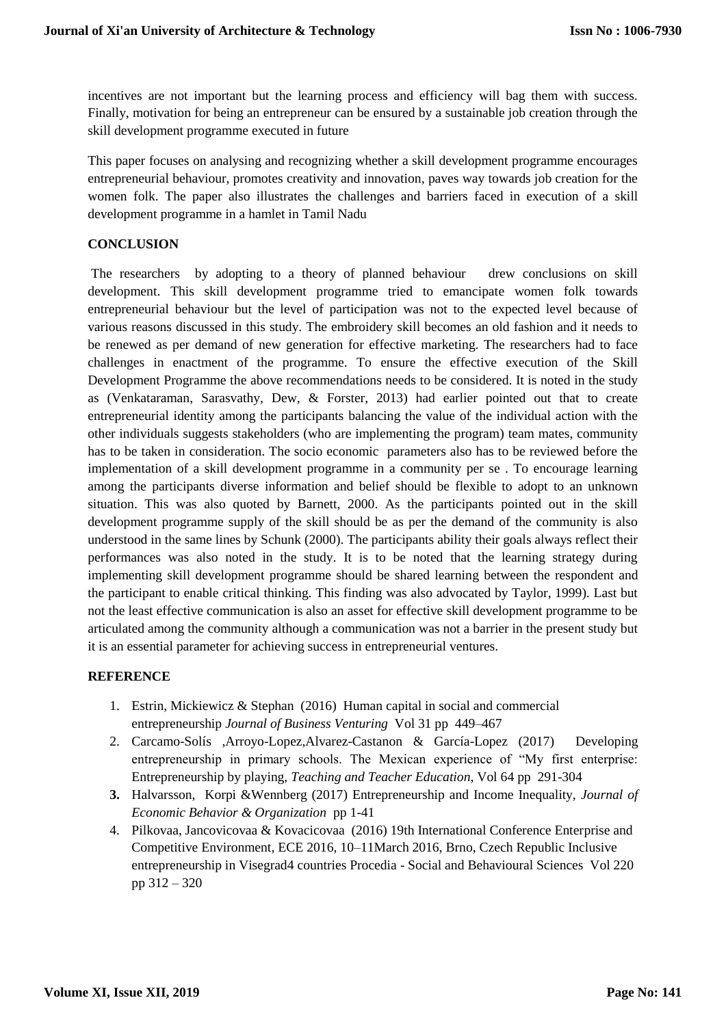incentives are not important but the learning process and efficiency will bag them with success. Finally, motivation for being an entrepreneur can be ensured by a sustainable job creation through the skill development programme executed in future

This paper focuses on analysing and recognizing whether a skill development programme encourages entrepreneurial behaviour, promotes creativity and innovation, paves way towards job creation for the women folk. The paper also illustrates the challenges and barriers faced in execution of a skill development programme in a hamlet in Tamil Nadu

### **CONCLUSION**

The researchers by adopting to a theory of planned behaviour drew conclusions on skill development. This skill development programme tried to emancipate women folk towards entrepreneurial behaviour but the level of participation was not to the expected level because of various reasons discussed in this study. The embroidery skill becomes an old fashion and it needs to be renewed as per demand of new generation for effective marketing. The researchers had to face challenges in enactment of the programme. To ensure the effective execution of the Skill Development Programme the above recommendations needs to be considered. It is noted in the study as (Venkataraman, Sarasvathy, Dew, & Forster, 2013) had earlier pointed out that to create entrepreneurial identity among the participants balancing the value of the individual action with the other individuals suggests stakeholders (who are implementing the program) team mates, community has to be taken in consideration. The socio economic parameters also has to be reviewed before the implementation of a skill development programme in a community per se . To encourage learning among the participants diverse information and belief should be flexible to adopt to an unknown situation. This was also quoted by Barnett, 2000. As the participants pointed out in the skill development programme supply of the skill should be as per the demand of the community is also understood in the same lines by Schunk (2000). The participants ability their goals always reflect their performances was also noted in the study. It is to be noted that the learning strategy during implementing skill development programme should be shared learning between the respondent and the participant to enable critical thinking. This finding was also advocated by Taylor, 1999). Last but not the least effective communication is also an asset for effective skill development programme to be articulated among the community although a communication was not a barrier in the present study but it is an essential parameter for achieving success in entrepreneurial ventures.

#### **REFERENCE**

- 1. Estrin, Mickiewicz & Stephan (2016) Human capital in social and commercial entrepreneurship *Journal of Business Venturing* Vol 31 pp 449–467
- 2. Carcamo-Solís ,Arroyo-Lopez,Alvarez-Castanon & García-Lopez (2017) Developing entrepreneurship in primary schools. The Mexican experience of "My first enterprise: Entrepreneurship by playing, *Teaching and Teacher Education*, Vol 64 pp 291-304
- **3.** Halvarsson, Korpi &Wennberg (2017) Entrepreneurship and Income Inequality, *Journal of Economic Behavior & Organization* pp 1-41
- 4. Pilkovaa, Jancovicovaa & Kovacicovaa (2016) 19th International Conference Enterprise and Competitive Environment, ECE 2016, 10–11March 2016, Brno, Czech Republic Inclusive entrepreneurship in Visegrad4 countries Procedia - Social and Behavioural Sciences Vol 220 pp 312 – 320